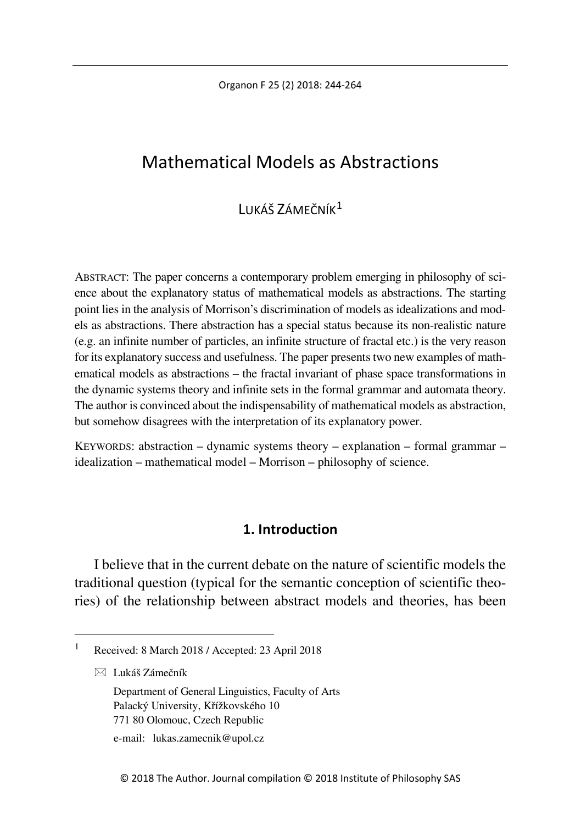Organon F 25 (2) 2018: 244-264

# Mathematical Models as Abstractions

# LUKÁŠ ZÁMEČNÍK<sup>[1](#page-0-0)</sup>

ABSTRACT: The paper concerns a contemporary problem emerging in philosophy of science about the explanatory status of mathematical models as abstractions. The starting point lies in the analysis of Morrison's discrimination of models as idealizations and models as abstractions. There abstraction has a special status because its non-realistic nature (e.g. an infinite number of particles, an infinite structure of fractal etc.) is the very reason for its explanatory success and usefulness. The paper presents two new examples of mathematical models as abstractions – the fractal invariant of phase space transformations in the dynamic systems theory and infinite sets in the formal grammar and automata theory. The author is convinced about the indispensability of mathematical models as abstraction, but somehow disagrees with the interpretation of its explanatory power.

KEYWORDS: abstraction – dynamic systems theory – explanation – formal grammar – idealization – mathematical model – Morrison – philosophy of science.

### **1. Introduction**

I believe that in the current debate on the nature of scientific models the traditional question (typical for the semantic conception of scientific theories) of the relationship between abstract models and theories, has been

 $\boxtimes$  Lukáš Zámečník

Department of General Linguistics, Faculty of Arts Palacký University, Křížkovského 10 771 80 Olomouc, Czech Republic

e-mail: lukas.zamecnik@upol.cz

<span id="page-0-0"></span> <sup>1</sup> Received: 8 March <sup>2018</sup> / Accepted: 23 April <sup>2018</sup>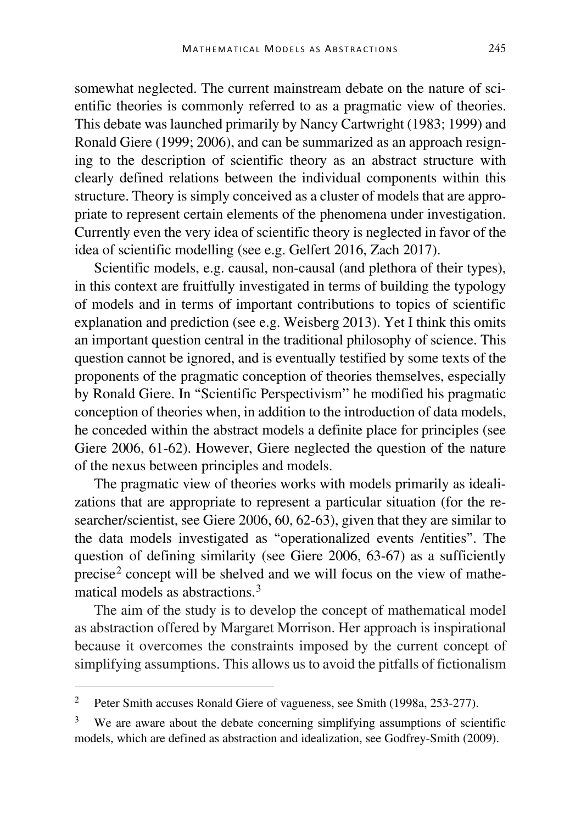somewhat neglected. The current mainstream debate on the nature of scientific theories is commonly referred to as a pragmatic view of theories. This debate was launched primarily by Nancy Cartwright (1983; 1999) and Ronald Giere (1999; 2006), and can be summarized as an approach resigning to the description of scientific theory as an abstract structure with clearly defined relations between the individual components within this structure. Theory is simply conceived as a cluster of models that are appropriate to represent certain elements of the phenomena under investigation. Currently even the very idea of scientific theory is neglected in favor of the idea of scientific modelling (see e.g. Gelfert 2016, Zach 2017).

Scientific models, e.g. causal, non-causal (and plethora of their types), in this context are fruitfully investigated in terms of building the typology of models and in terms of important contributions to topics of scientific explanation and prediction (see e.g. Weisberg 2013). Yet I think this omits an important question central in the traditional philosophy of science. This question cannot be ignored, and is eventually testified by some texts of the proponents of the pragmatic conception of theories themselves, especially by Ronald Giere. In "Scientific Perspectivism'' he modified his pragmatic conception of theories when, in addition to the introduction of data models, he conceded within the abstract models a definite place for principles (see Giere 2006, 61-62). However, Giere neglected the question of the nature of the nexus between principles and models.

The pragmatic view of theories works with models primarily as idealizations that are appropriate to represent a particular situation (for the researcher/scientist, see Giere 2006, 60, 62-63), given that they are similar to the data models investigated as "operationalized events /entities". The question of defining similarity (see Giere 2006, 63-67) as a sufficiently precise[2](#page-1-0) concept will be shelved and we will focus on the view of mathe-matical models as abstractions <sup>[3](#page-1-1)</sup>

The aim of the study is to develop the concept of mathematical model as abstraction offered by Margaret Morrison. Her approach is inspirational because it overcomes the constraints imposed by the current concept of simplifying assumptions. This allows us to avoid the pitfalls of fictionalism

<span id="page-1-0"></span><sup>&</sup>lt;sup>2</sup> Peter Smith accuses Ronald Giere of vagueness, see Smith (1998a, 253-277).

<span id="page-1-1"></span> $3$  We are aware about the debate concerning simplifying assumptions of scientific models, which are defined as abstraction and idealization, see Godfrey-Smith (2009).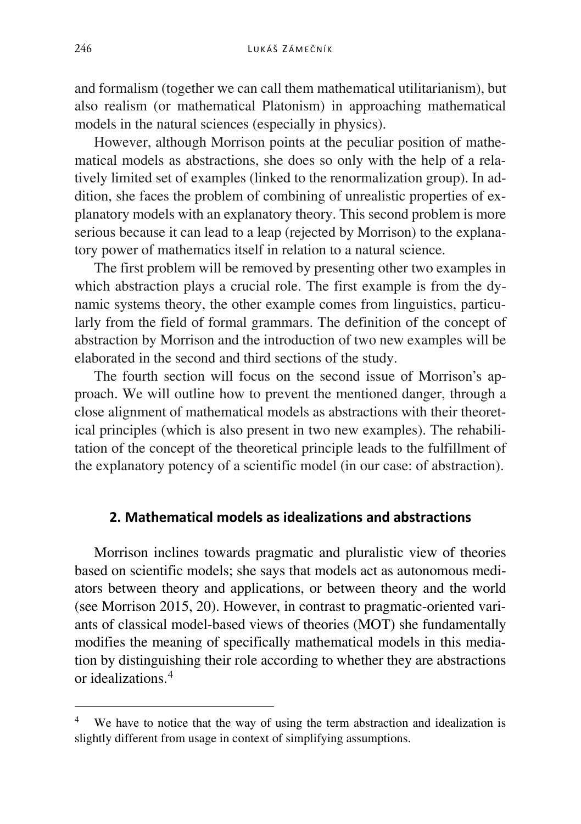and formalism (together we can call them mathematical utilitarianism), but also realism (or mathematical Platonism) in approaching mathematical models in the natural sciences (especially in physics).

However, although Morrison points at the peculiar position of mathematical models as abstractions, she does so only with the help of a relatively limited set of examples (linked to the renormalization group). In addition, she faces the problem of combining of unrealistic properties of explanatory models with an explanatory theory. This second problem is more serious because it can lead to a leap (rejected by Morrison) to the explanatory power of mathematics itself in relation to a natural science.

The first problem will be removed by presenting other two examples in which abstraction plays a crucial role. The first example is from the dynamic systems theory, the other example comes from linguistics, particularly from the field of formal grammars. The definition of the concept of abstraction by Morrison and the introduction of two new examples will be elaborated in the second and third sections of the study.

The fourth section will focus on the second issue of Morrison's approach. We will outline how to prevent the mentioned danger, through a close alignment of mathematical models as abstractions with their theoretical principles (which is also present in two new examples). The rehabilitation of the concept of the theoretical principle leads to the fulfillment of the explanatory potency of a scientific model (in our case: of abstraction).

### **2. Mathematical models as idealizations and abstractions**

Morrison inclines towards pragmatic and pluralistic view of theories based on scientific models; she says that models act as autonomous mediators between theory and applications, or between theory and the world (see Morrison 2015, 20). However, in contrast to pragmatic-oriented variants of classical model-based views of theories (MOT) she fundamentally modifies the meaning of specifically mathematical models in this mediation by distinguishing their role according to whether they are abstractions or idealizations.[4](#page-2-0)

<span id="page-2-0"></span><sup>&</sup>lt;sup>4</sup> We have to notice that the way of using the term abstraction and idealization is slightly different from usage in context of simplifying assumptions.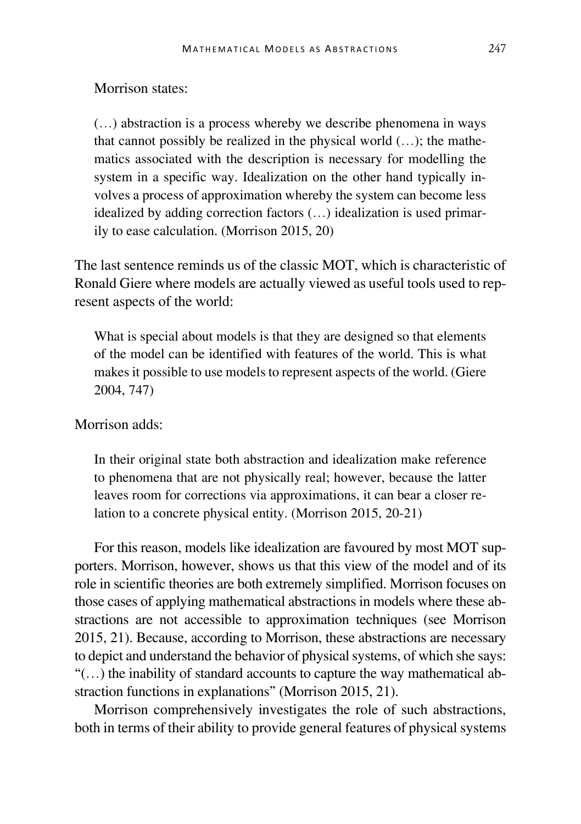#### Morrison states:

(…) abstraction is a process whereby we describe phenomena in ways that cannot possibly be realized in the physical world  $(...)$ ; the mathematics associated with the description is necessary for modelling the system in a specific way. Idealization on the other hand typically involves a process of approximation whereby the system can become less idealized by adding correction factors (…) idealization is used primarily to ease calculation. (Morrison 2015, 20)

The last sentence reminds us of the classic MOT, which is characteristic of Ronald Giere where models are actually viewed as useful tools used to represent aspects of the world:

What is special about models is that they are designed so that elements of the model can be identified with features of the world. This is what makes it possible to use models to represent aspects of the world. (Giere 2004, 747)

Morrison adds:

In their original state both abstraction and idealization make reference to phenomena that are not physically real; however, because the latter leaves room for corrections via approximations, it can bear a closer relation to a concrete physical entity. (Morrison 2015, 20-21)

For this reason, models like idealization are favoured by most MOT supporters. Morrison, however, shows us that this view of the model and of its role in scientific theories are both extremely simplified. Morrison focuses on those cases of applying mathematical abstractions in models where these abstractions are not accessible to approximation techniques (see Morrison 2015, 21). Because, according to Morrison, these abstractions are necessary to depict and understand the behavior of physical systems, of which she says: "(…) the inability of standard accounts to capture the way mathematical abstraction functions in explanations" (Morrison 2015, 21).

Morrison comprehensively investigates the role of such abstractions, both in terms of their ability to provide general features of physical systems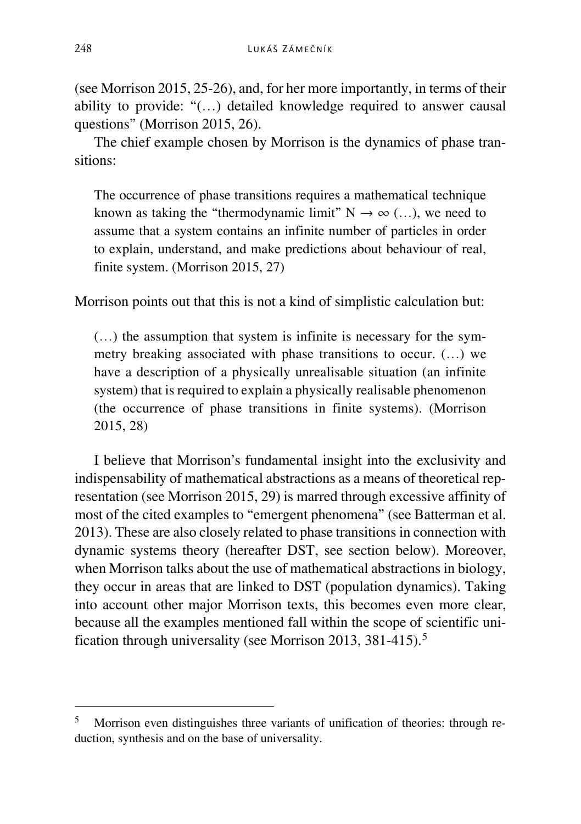(see Morrison 2015, 25-26), and, for her more importantly, in terms of their ability to provide: "(…) detailed knowledge required to answer causal questions" (Morrison 2015, 26).

The chief example chosen by Morrison is the dynamics of phase transitions:

The occurrence of phase transitions requires a mathematical technique known as taking the "thermodynamic limit"  $N \rightarrow \infty$  (...), we need to assume that a system contains an infinite number of particles in order to explain, understand, and make predictions about behaviour of real, finite system. (Morrison 2015, 27)

Morrison points out that this is not a kind of simplistic calculation but:

(…) the assumption that system is infinite is necessary for the symmetry breaking associated with phase transitions to occur. (…) we have a description of a physically unrealisable situation (an infinite system) that is required to explain a physically realisable phenomenon (the occurrence of phase transitions in finite systems). (Morrison 2015, 28)

I believe that Morrison's fundamental insight into the exclusivity and indispensability of mathematical abstractions as a means of theoretical representation (see Morrison 2015, 29) is marred through excessive affinity of most of the cited examples to "emergent phenomena" (see Batterman et al. 2013). These are also closely related to phase transitions in connection with dynamic systems theory (hereafter DST, see section below). Moreover, when Morrison talks about the use of mathematical abstractions in biology, they occur in areas that are linked to DST (population dynamics). Taking into account other major Morrison texts, this becomes even more clear, because all the examples mentioned fall within the scope of scientific unification through universality (see Morrison 2013, 381-415).[5](#page-4-0)

<span id="page-4-0"></span> <sup>5</sup> Morrison even distinguishes three variants of unification of theories: through reduction, synthesis and on the base of universality.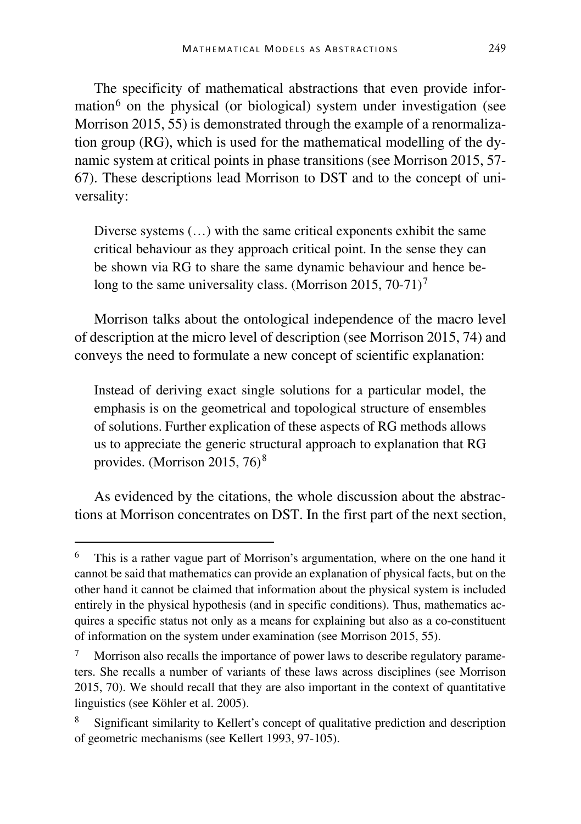The specificity of mathematical abstractions that even provide infor-mation<sup>[6](#page-5-0)</sup> on the physical (or biological) system under investigation (see Morrison 2015, 55) is demonstrated through the example of a renormalization group (RG), which is used for the mathematical modelling of the dynamic system at critical points in phase transitions (see Morrison 2015, 57- 67). These descriptions lead Morrison to DST and to the concept of universality:

Diverse systems (…) with the same critical exponents exhibit the same critical behaviour as they approach critical point. In the sense they can be shown via RG to share the same dynamic behaviour and hence be-long to the same universality class. (Morrison 2015, [7](#page-5-1)0-71)<sup>7</sup>

Morrison talks about the ontological independence of the macro level of description at the micro level of description (see Morrison 2015, 74) and conveys the need to formulate a new concept of scientific explanation:

Instead of deriving exact single solutions for a particular model, the emphasis is on the geometrical and topological structure of ensembles of solutions. Further explication of these aspects of RG methods allows us to appreciate the generic structural approach to explanation that RG provides. (Morrison 2015, 76) $8$ 

As evidenced by the citations, the whole discussion about the abstractions at Morrison concentrates on DST. In the first part of the next section,

<span id="page-5-0"></span> $6$  This is a rather vague part of Morrison's argumentation, where on the one hand it cannot be said that mathematics can provide an explanation of physical facts, but on the other hand it cannot be claimed that information about the physical system is included entirely in the physical hypothesis (and in specific conditions). Thus, mathematics acquires a specific status not only as a means for explaining but also as a co-constituent of information on the system under examination (see Morrison 2015, 55).

<span id="page-5-1"></span><sup>7</sup> Morrison also recalls the importance of power laws to describe regulatory parameters. She recalls a number of variants of these laws across disciplines (see Morrison 2015, 70). We should recall that they are also important in the context of quantitative linguistics (see Köhler et al. 2005).

<span id="page-5-2"></span><sup>8</sup> Significant similarity to Kellert's concept of qualitative prediction and description of geometric mechanisms (see Kellert 1993, 97-105).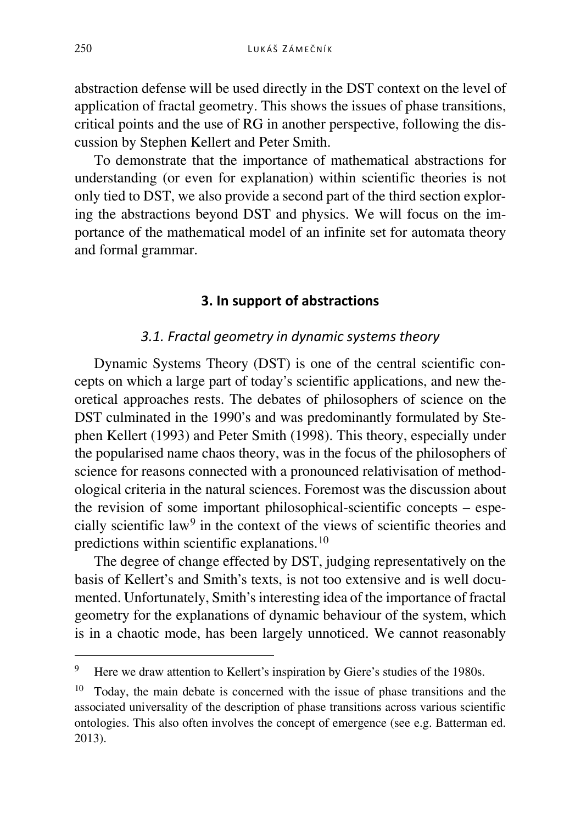abstraction defense will be used directly in the DST context on the level of application of fractal geometry. This shows the issues of phase transitions, critical points and the use of RG in another perspective, following the discussion by Stephen Kellert and Peter Smith.

To demonstrate that the importance of mathematical abstractions for understanding (or even for explanation) within scientific theories is not only tied to DST, we also provide a second part of the third section exploring the abstractions beyond DST and physics. We will focus on the importance of the mathematical model of an infinite set for automata theory and formal grammar.

## **3. In support of abstractions**

#### *3.1. Fractal geometry in dynamic systems theory*

Dynamic Systems Theory (DST) is one of the central scientific concepts on which a large part of today's scientific applications, and new theoretical approaches rests. The debates of philosophers of science on the DST culminated in the 1990's and was predominantly formulated by Stephen Kellert (1993) and Peter Smith (1998). This theory, especially under the popularised name chaos theory, was in the focus of the philosophers of science for reasons connected with a pronounced relativisation of methodological criteria in the natural sciences. Foremost was the discussion about the revision of some important philosophical-scientific concepts – especially scientific law[9](#page-6-0) in the context of the views of scientific theories and predictions within scientific explanations.[10](#page-6-1)

The degree of change effected by DST, judging representatively on the basis of Kellert's and Smith's texts, is not too extensive and is well documented. Unfortunately, Smith's interesting idea of the importance of fractal geometry for the explanations of dynamic behaviour of the system, which is in a chaotic mode, has been largely unnoticed. We cannot reasonably

<span id="page-6-0"></span><sup>&</sup>lt;sup>9</sup> Here we draw attention to Kellert's inspiration by Giere's studies of the 1980s.

<span id="page-6-1"></span> $10$  Today, the main debate is concerned with the issue of phase transitions and the associated universality of the description of phase transitions across various scientific ontologies. This also often involves the concept of emergence (see e.g. Batterman ed. 2013).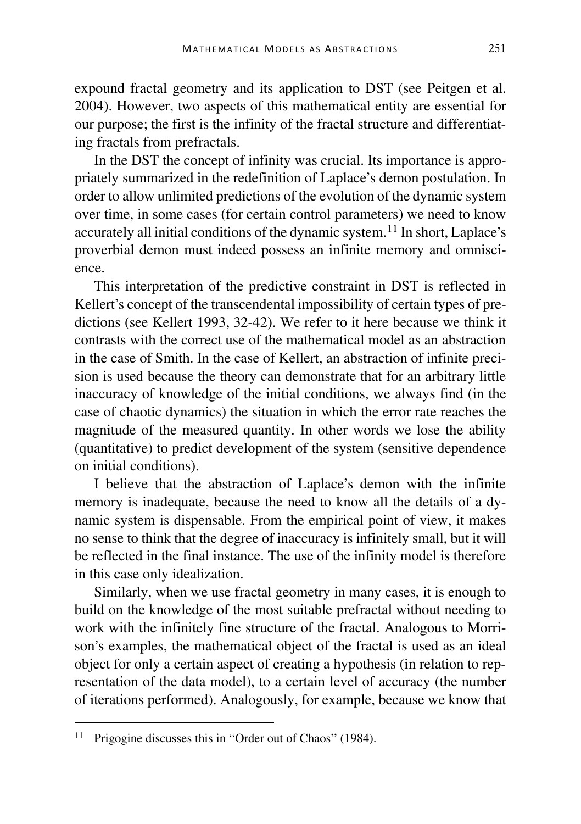expound fractal geometry and its application to DST (see Peitgen et al. 2004). However, two aspects of this mathematical entity are essential for our purpose; the first is the infinity of the fractal structure and differentiating fractals from prefractals.

In the DST the concept of infinity was crucial. Its importance is appropriately summarized in the redefinition of Laplace's demon postulation. In order to allow unlimited predictions of the evolution of the dynamic system over time, in some cases (for certain control parameters) we need to know accurately all initial conditions of the dynamic system.[11](#page-7-0) In short, Laplace's proverbial demon must indeed possess an infinite memory and omniscience.

This interpretation of the predictive constraint in DST is reflected in Kellert's concept of the transcendental impossibility of certain types of predictions (see Kellert 1993, 32-42). We refer to it here because we think it contrasts with the correct use of the mathematical model as an abstraction in the case of Smith. In the case of Kellert, an abstraction of infinite precision is used because the theory can demonstrate that for an arbitrary little inaccuracy of knowledge of the initial conditions, we always find (in the case of chaotic dynamics) the situation in which the error rate reaches the magnitude of the measured quantity. In other words we lose the ability (quantitative) to predict development of the system (sensitive dependence on initial conditions).

I believe that the abstraction of Laplace's demon with the infinite memory is inadequate, because the need to know all the details of a dynamic system is dispensable. From the empirical point of view, it makes no sense to think that the degree of inaccuracy is infinitely small, but it will be reflected in the final instance. The use of the infinity model is therefore in this case only idealization.

Similarly, when we use fractal geometry in many cases, it is enough to build on the knowledge of the most suitable prefractal without needing to work with the infinitely fine structure of the fractal. Analogous to Morrison's examples, the mathematical object of the fractal is used as an ideal object for only a certain aspect of creating a hypothesis (in relation to representation of the data model), to a certain level of accuracy (the number of iterations performed). Analogously, for example, because we know that

<span id="page-7-0"></span> <sup>11</sup> Prigogine discusses this in ''Order out of Chaos'' (1984).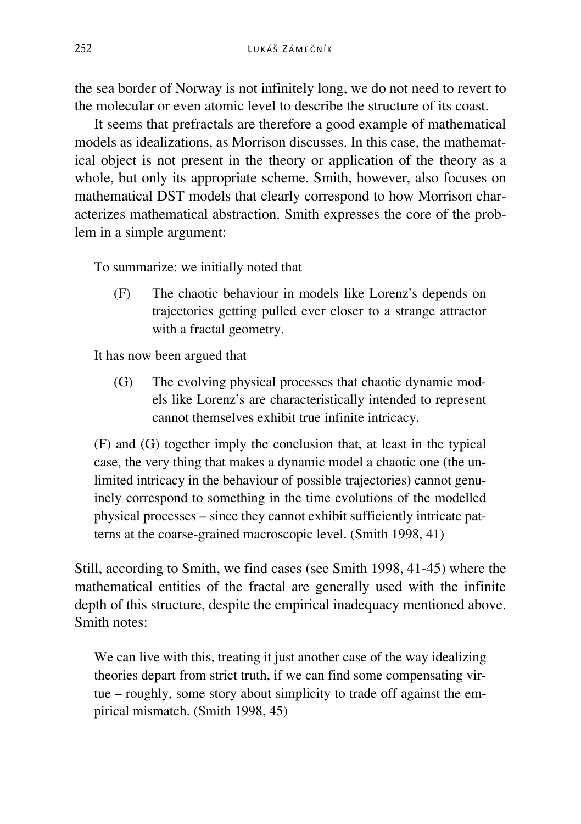the sea border of Norway is not infinitely long, we do not need to revert to the molecular or even atomic level to describe the structure of its coast.

It seems that prefractals are therefore a good example of mathematical models as idealizations, as Morrison discusses. In this case, the mathematical object is not present in the theory or application of the theory as a whole, but only its appropriate scheme. Smith, however, also focuses on mathematical DST models that clearly correspond to how Morrison characterizes mathematical abstraction. Smith expresses the core of the problem in a simple argument:

To summarize: we initially noted that

(F) The chaotic behaviour in models like Lorenz's depends on trajectories getting pulled ever closer to a strange attractor with a fractal geometry.

It has now been argued that

(G) The evolving physical processes that chaotic dynamic models like Lorenz's are characteristically intended to represent cannot themselves exhibit true infinite intricacy.

(F) and (G) together imply the conclusion that, at least in the typical case, the very thing that makes a dynamic model a chaotic one (the unlimited intricacy in the behaviour of possible trajectories) cannot genuinely correspond to something in the time evolutions of the modelled physical processes – since they cannot exhibit sufficiently intricate patterns at the coarse-grained macroscopic level. (Smith 1998, 41)

Still, according to Smith, we find cases (see Smith 1998, 41-45) where the mathematical entities of the fractal are generally used with the infinite depth of this structure, despite the empirical inadequacy mentioned above. Smith notes:

We can live with this, treating it just another case of the way idealizing theories depart from strict truth, if we can find some compensating virtue – roughly, some story about simplicity to trade off against the empirical mismatch. (Smith 1998, 45)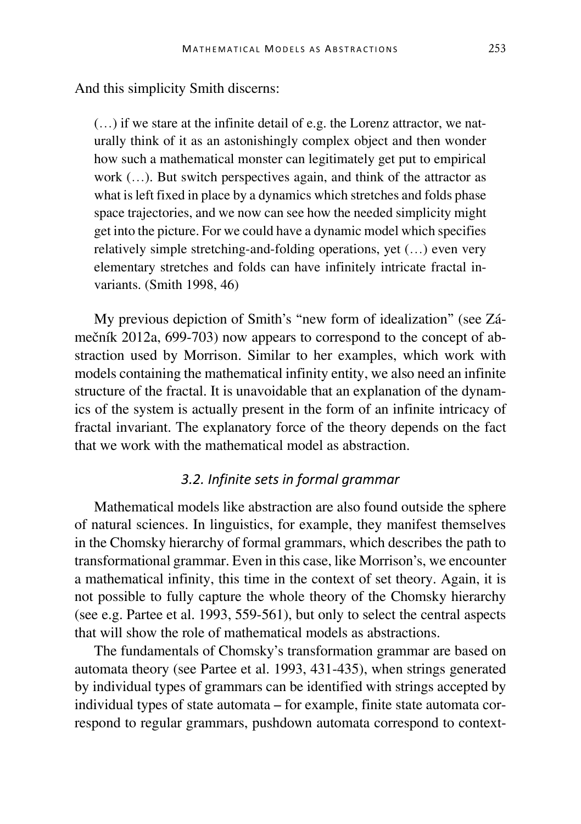And this simplicity Smith discerns:

(…) if we stare at the infinite detail of e.g. the Lorenz attractor, we naturally think of it as an astonishingly complex object and then wonder how such a mathematical monster can legitimately get put to empirical work  $(...)$ . But switch perspectives again, and think of the attractor as what is left fixed in place by a dynamics which stretches and folds phase space trajectories, and we now can see how the needed simplicity might get into the picture. For we could have a dynamic model which specifies relatively simple stretching-and-folding operations, yet (…) even very elementary stretches and folds can have infinitely intricate fractal invariants. (Smith 1998, 46)

My previous depiction of Smith's "new form of idealization" (see Zámečník 2012a, 699-703) now appears to correspond to the concept of abstraction used by Morrison. Similar to her examples, which work with models containing the mathematical infinity entity, we also need an infinite structure of the fractal. It is unavoidable that an explanation of the dynamics of the system is actually present in the form of an infinite intricacy of fractal invariant. The explanatory force of the theory depends on the fact that we work with the mathematical model as abstraction.

#### *3.2. Infinite sets in formal grammar*

Mathematical models like abstraction are also found outside the sphere of natural sciences. In linguistics, for example, they manifest themselves in the Chomsky hierarchy of formal grammars, which describes the path to transformational grammar. Even in this case, like Morrison's, we encounter a mathematical infinity, this time in the context of set theory. Again, it is not possible to fully capture the whole theory of the Chomsky hierarchy (see e.g. Partee et al. 1993, 559-561), but only to select the central aspects that will show the role of mathematical models as abstractions.

The fundamentals of Chomsky's transformation grammar are based on automata theory (see Partee et al. 1993, 431-435), when strings generated by individual types of grammars can be identified with strings accepted by individual types of state automata – for example, finite state automata correspond to regular grammars, pushdown automata correspond to context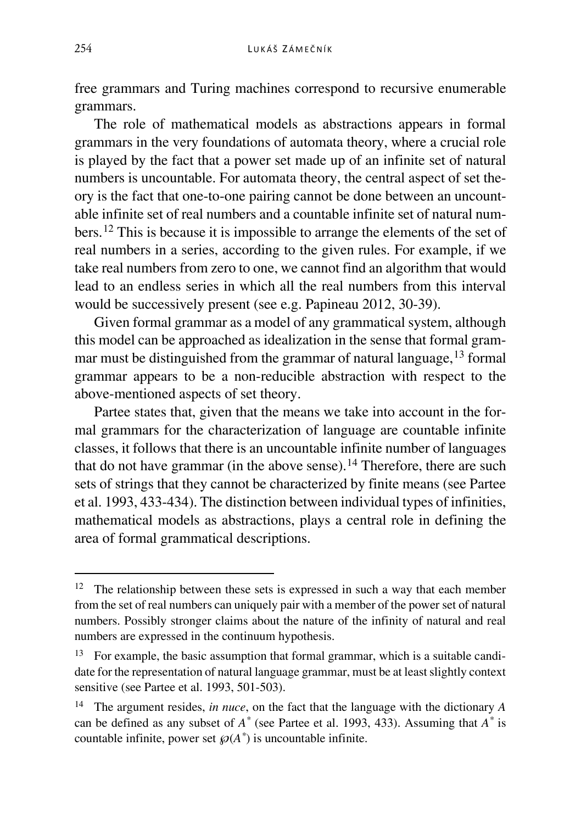free grammars and Turing machines correspond to recursive enumerable grammars.

The role of mathematical models as abstractions appears in formal grammars in the very foundations of automata theory, where a crucial role is played by the fact that a power set made up of an infinite set of natural numbers is uncountable. For automata theory, the central aspect of set theory is the fact that one-to-one pairing cannot be done between an uncountable infinite set of real numbers and a countable infinite set of natural numbers.[12](#page-10-0) This is because it is impossible to arrange the elements of the set of real numbers in a series, according to the given rules. For example, if we take real numbers from zero to one, we cannot find an algorithm that would lead to an endless series in which all the real numbers from this interval would be successively present (see e.g. Papineau 2012, 30-39).

Given formal grammar as a model of any grammatical system, although this model can be approached as idealization in the sense that formal gram-mar must be distinguished from the grammar of natural language, <sup>[13](#page-10-1)</sup> formal grammar appears to be a non-reducible abstraction with respect to the above-mentioned aspects of set theory.

Partee states that, given that the means we take into account in the formal grammars for the characterization of language are countable infinite classes, it follows that there is an uncountable infinite number of languages that do not have grammar (in the above sense).<sup>[14](#page-10-2)</sup> Therefore, there are such sets of strings that they cannot be characterized by finite means (see Partee et al. 1993, 433-434). The distinction between individual types of infinities, mathematical models as abstractions, plays a central role in defining the area of formal grammatical descriptions.

<span id="page-10-0"></span> $12$  The relationship between these sets is expressed in such a way that each member from the set of real numbers can uniquely pair with a member of the power set of natural numbers. Possibly stronger claims about the nature of the infinity of natural and real numbers are expressed in the continuum hypothesis.

<span id="page-10-1"></span><sup>&</sup>lt;sup>13</sup> For example, the basic assumption that formal grammar, which is a suitable candidate for the representation of natural language grammar, must be at least slightly context sensitive (see Partee et al. 1993, 501-503).

<span id="page-10-2"></span><sup>14</sup> The argument resides, *in nuce*, on the fact that the language with the dictionary *A* can be defined as any subset of *A\** (see Partee et al. 1993, 433). Assuming that *A\** is countable infinite, power set  $\mathcal{O}(A^*)$  is uncountable infinite.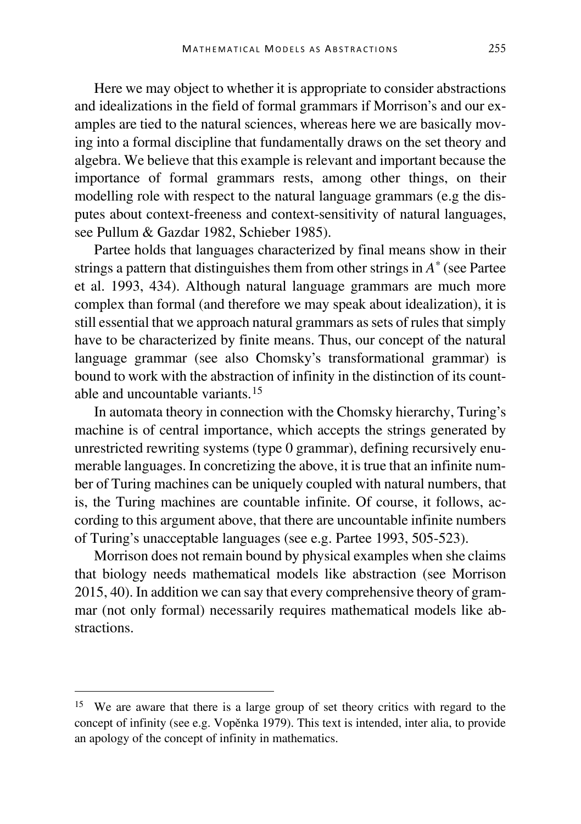Here we may object to whether it is appropriate to consider abstractions and idealizations in the field of formal grammars if Morrison's and our examples are tied to the natural sciences, whereas here we are basically moving into a formal discipline that fundamentally draws on the set theory and algebra. We believe that this example is relevant and important because the importance of formal grammars rests, among other things, on their modelling role with respect to the natural language grammars (e.g the disputes about context-freeness and context-sensitivity of natural languages, see Pullum & Gazdar 1982, Schieber 1985).

Partee holds that languages characterized by final means show in their strings a pattern that distinguishes them from other strings in *A\** (see Partee et al. 1993, 434). Although natural language grammars are much more complex than formal (and therefore we may speak about idealization), it is still essential that we approach natural grammars as sets of rules that simply have to be characterized by finite means. Thus, our concept of the natural language grammar (see also Chomsky's transformational grammar) is bound to work with the abstraction of infinity in the distinction of its countable and uncountable variants.  $15$ 

In automata theory in connection with the Chomsky hierarchy, Turing's machine is of central importance, which accepts the strings generated by unrestricted rewriting systems (type 0 grammar), defining recursively enumerable languages. In concretizing the above, it is true that an infinite number of Turing machines can be uniquely coupled with natural numbers, that is, the Turing machines are countable infinite. Of course, it follows, according to this argument above, that there are uncountable infinite numbers of Turing's unacceptable languages (see e.g. Partee 1993, 505-523).

Morrison does not remain bound by physical examples when she claims that biology needs mathematical models like abstraction (see Morrison 2015, 40). In addition we can say that every comprehensive theory of grammar (not only formal) necessarily requires mathematical models like abstractions.

<span id="page-11-0"></span><sup>&</sup>lt;sup>15</sup> We are aware that there is a large group of set theory critics with regard to the concept of infinity (see e.g. Vopěnka 1979). This text is intended, inter alia, to provide an apology of the concept of infinity in mathematics.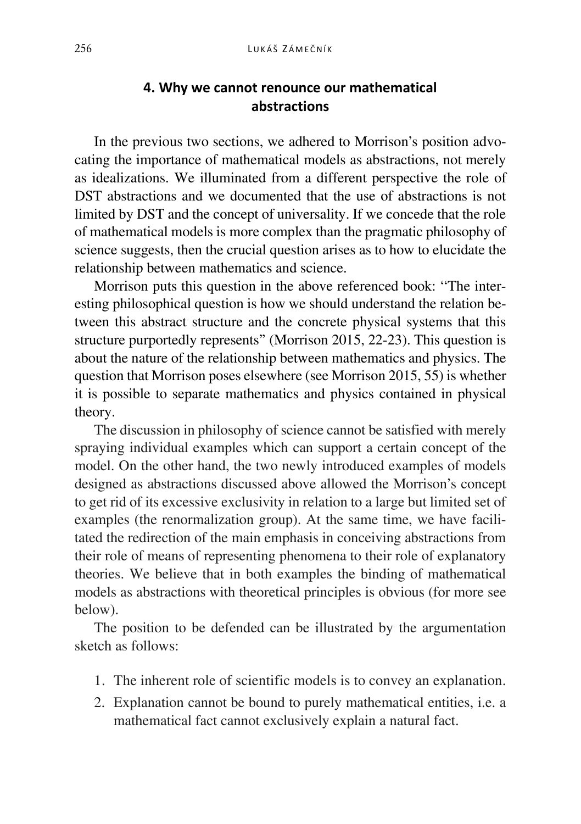# **4. Why we cannot renounce our mathematical abstractions**

In the previous two sections, we adhered to Morrison's position advocating the importance of mathematical models as abstractions, not merely as idealizations. We illuminated from a different perspective the role of DST abstractions and we documented that the use of abstractions is not limited by DST and the concept of universality. If we concede that the role of mathematical models is more complex than the pragmatic philosophy of science suggests, then the crucial question arises as to how to elucidate the relationship between mathematics and science.

Morrison puts this question in the above referenced book: ''The interesting philosophical question is how we should understand the relation between this abstract structure and the concrete physical systems that this structure purportedly represents" (Morrison 2015, 22-23). This question is about the nature of the relationship between mathematics and physics. The question that Morrison poses elsewhere (see Morrison 2015, 55) is whether it is possible to separate mathematics and physics contained in physical theory.

The discussion in philosophy of science cannot be satisfied with merely spraying individual examples which can support a certain concept of the model. On the other hand, the two newly introduced examples of models designed as abstractions discussed above allowed the Morrison's concept to get rid of its excessive exclusivity in relation to a large but limited set of examples (the renormalization group). At the same time, we have facilitated the redirection of the main emphasis in conceiving abstractions from their role of means of representing phenomena to their role of explanatory theories. We believe that in both examples the binding of mathematical models as abstractions with theoretical principles is obvious (for more see below).

The position to be defended can be illustrated by the argumentation sketch as follows:

- 1. The inherent role of scientific models is to convey an explanation.
- 2. Explanation cannot be bound to purely mathematical entities, i.e. a mathematical fact cannot exclusively explain a natural fact.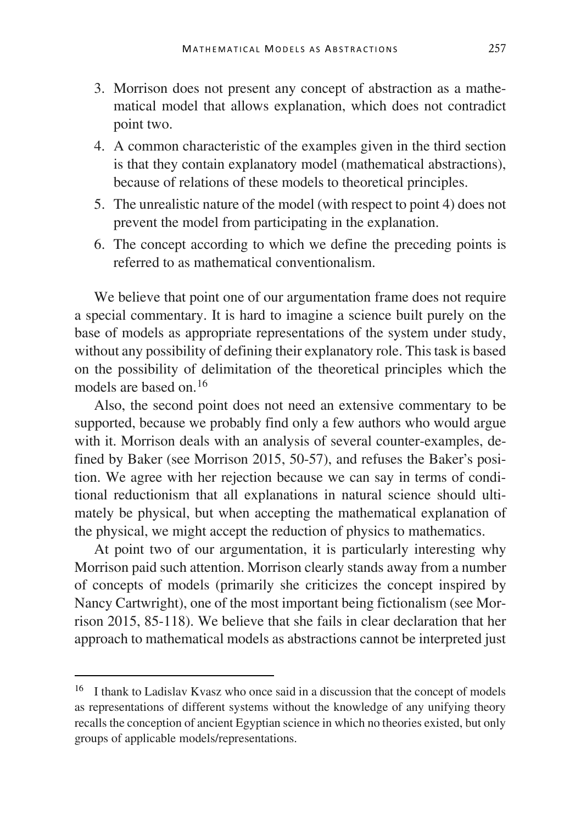- 3. Morrison does not present any concept of abstraction as a mathematical model that allows explanation, which does not contradict point two.
- 4. A common characteristic of the examples given in the third section is that they contain explanatory model (mathematical abstractions), because of relations of these models to theoretical principles.
- 5. The unrealistic nature of the model (with respect to point 4) does not prevent the model from participating in the explanation.
- 6. The concept according to which we define the preceding points is referred to as mathematical conventionalism.

We believe that point one of our argumentation frame does not require a special commentary. It is hard to imagine a science built purely on the base of models as appropriate representations of the system under study, without any possibility of defining their explanatory role. This task is based on the possibility of delimitation of the theoretical principles which the models are based on.[16](#page-13-0)

Also, the second point does not need an extensive commentary to be supported, because we probably find only a few authors who would argue with it. Morrison deals with an analysis of several counter-examples, defined by Baker (see Morrison 2015, 50-57), and refuses the Baker's position. We agree with her rejection because we can say in terms of conditional reductionism that all explanations in natural science should ultimately be physical, but when accepting the mathematical explanation of the physical, we might accept the reduction of physics to mathematics.

At point two of our argumentation, it is particularly interesting why Morrison paid such attention. Morrison clearly stands away from a number of concepts of models (primarily she criticizes the concept inspired by Nancy Cartwright), one of the most important being fictionalism (see Morrison 2015, 85-118). We believe that she fails in clear declaration that her approach to mathematical models as abstractions cannot be interpreted just

<span id="page-13-0"></span><sup>&</sup>lt;sup>16</sup> I thank to Ladislav Kvasz who once said in a discussion that the concept of models as representations of different systems without the knowledge of any unifying theory recalls the conception of ancient Egyptian science in which no theories existed, but only groups of applicable models/representations.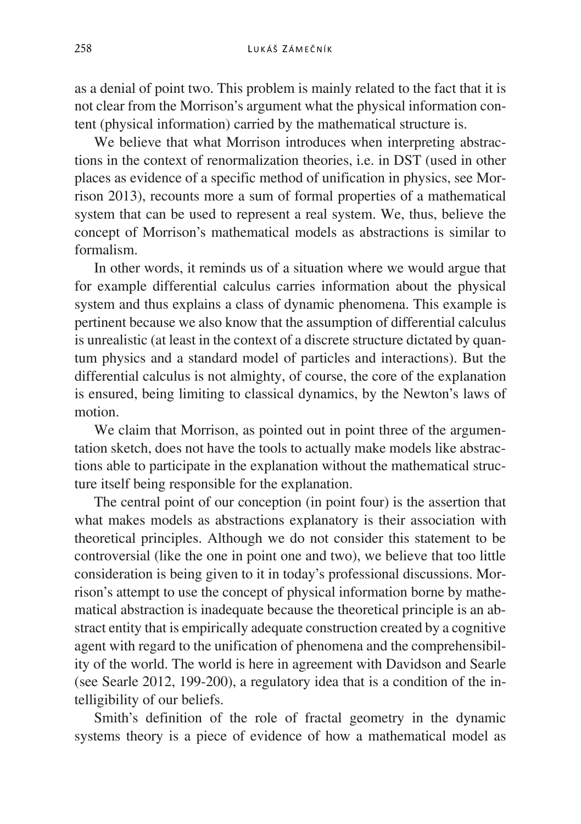as a denial of point two. This problem is mainly related to the fact that it is not clear from the Morrison's argument what the physical information content (physical information) carried by the mathematical structure is.

We believe that what Morrison introduces when interpreting abstractions in the context of renormalization theories, i.e. in DST (used in other places as evidence of a specific method of unification in physics, see Morrison 2013), recounts more a sum of formal properties of a mathematical system that can be used to represent a real system. We, thus, believe the concept of Morrison's mathematical models as abstractions is similar to formalism.

In other words, it reminds us of a situation where we would argue that for example differential calculus carries information about the physical system and thus explains a class of dynamic phenomena. This example is pertinent because we also know that the assumption of differential calculus is unrealistic (at least in the context of a discrete structure dictated by quantum physics and a standard model of particles and interactions). But the differential calculus is not almighty, of course, the core of the explanation is ensured, being limiting to classical dynamics, by the Newton's laws of motion.

We claim that Morrison, as pointed out in point three of the argumentation sketch, does not have the tools to actually make models like abstractions able to participate in the explanation without the mathematical structure itself being responsible for the explanation.

The central point of our conception (in point four) is the assertion that what makes models as abstractions explanatory is their association with theoretical principles. Although we do not consider this statement to be controversial (like the one in point one and two), we believe that too little consideration is being given to it in today's professional discussions. Morrison's attempt to use the concept of physical information borne by mathematical abstraction is inadequate because the theoretical principle is an abstract entity that is empirically adequate construction created by a cognitive agent with regard to the unification of phenomena and the comprehensibility of the world. The world is here in agreement with Davidson and Searle (see Searle 2012, 199-200), a regulatory idea that is a condition of the intelligibility of our beliefs.

Smith's definition of the role of fractal geometry in the dynamic systems theory is a piece of evidence of how a mathematical model as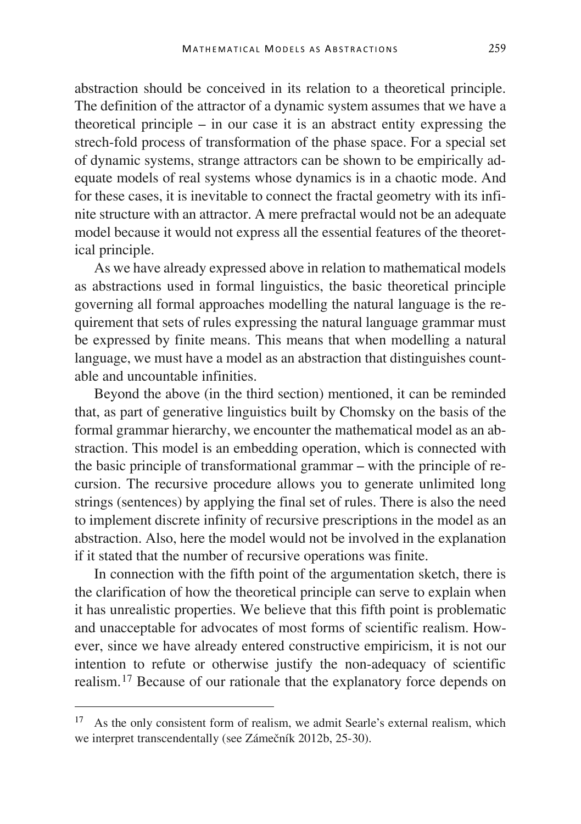abstraction should be conceived in its relation to a theoretical principle. The definition of the attractor of a dynamic system assumes that we have a theoretical principle – in our case it is an abstract entity expressing the strech-fold process of transformation of the phase space. For a special set of dynamic systems, strange attractors can be shown to be empirically adequate models of real systems whose dynamics is in a chaotic mode. And for these cases, it is inevitable to connect the fractal geometry with its infinite structure with an attractor. A mere prefractal would not be an adequate model because it would not express all the essential features of the theoretical principle.

As we have already expressed above in relation to mathematical models as abstractions used in formal linguistics, the basic theoretical principle governing all formal approaches modelling the natural language is the requirement that sets of rules expressing the natural language grammar must be expressed by finite means. This means that when modelling a natural language, we must have a model as an abstraction that distinguishes countable and uncountable infinities.

Beyond the above (in the third section) mentioned, it can be reminded that, as part of generative linguistics built by Chomsky on the basis of the formal grammar hierarchy, we encounter the mathematical model as an abstraction. This model is an embedding operation, which is connected with the basic principle of transformational grammar – with the principle of recursion. The recursive procedure allows you to generate unlimited long strings (sentences) by applying the final set of rules. There is also the need to implement discrete infinity of recursive prescriptions in the model as an abstraction. Also, here the model would not be involved in the explanation if it stated that the number of recursive operations was finite.

In connection with the fifth point of the argumentation sketch, there is the clarification of how the theoretical principle can serve to explain when it has unrealistic properties. We believe that this fifth point is problematic and unacceptable for advocates of most forms of scientific realism. However, since we have already entered constructive empiricism, it is not our intention to refute or otherwise justify the non-adequacy of scientific realism.[17](#page-15-0) Because of our rationale that the explanatory force depends on

<span id="page-15-0"></span><sup>&</sup>lt;sup>17</sup> As the only consistent form of realism, we admit Searle's external realism, which we interpret transcendentally (see Zámečník 2012b, 25-30).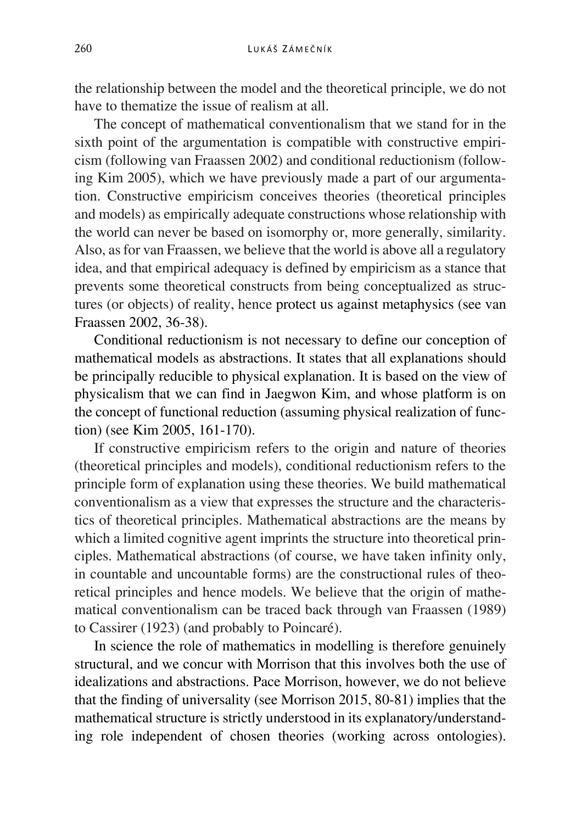the relationship between the model and the theoretical principle, we do not have to thematize the issue of realism at all.

The concept of mathematical conventionalism that we stand for in the sixth point of the argumentation is compatible with constructive empiricism (following van Fraassen 2002) and conditional reductionism (following Kim 2005), which we have previously made a part of our argumentation. Constructive empiricism conceives theories (theoretical principles and models) as empirically adequate constructions whose relationship with the world can never be based on isomorphy or, more generally, similarity. Also, as for van Fraassen, we believe that the world is above all a regulatory idea, and that empirical adequacy is defined by empiricism as a stance that prevents some theoretical constructs from being conceptualized as structures (or objects) of reality, hence protect us against metaphysics (see van Fraassen 2002, 36-38).

Conditional reductionism is not necessary to define our conception of mathematical models as abstractions. It states that all explanations should be principally reducible to physical explanation. It is based on the view of physicalism that we can find in Jaegwon Kim, and whose platform is on the concept of functional reduction (assuming physical realization of function) (see Kim 2005, 161-170).

If constructive empiricism refers to the origin and nature of theories (theoretical principles and models), conditional reductionism refers to the principle form of explanation using these theories. We build mathematical conventionalism as a view that expresses the structure and the characteristics of theoretical principles. Mathematical abstractions are the means by which a limited cognitive agent imprints the structure into theoretical principles. Mathematical abstractions (of course, we have taken infinity only, in countable and uncountable forms) are the constructional rules of theoretical principles and hence models. We believe that the origin of mathematical conventionalism can be traced back through van Fraassen (1989) to Cassirer (1923) (and probably to Poincaré).

In science the role of mathematics in modelling is therefore genuinely structural, and we concur with Morrison that this involves both the use of idealizations and abstractions. Pace Morrison, however, we do not believe that the finding of universality (see Morrison 2015, 80-81) implies that the mathematical structure is strictly understood in its explanatory/understanding role independent of chosen theories (working across ontologies).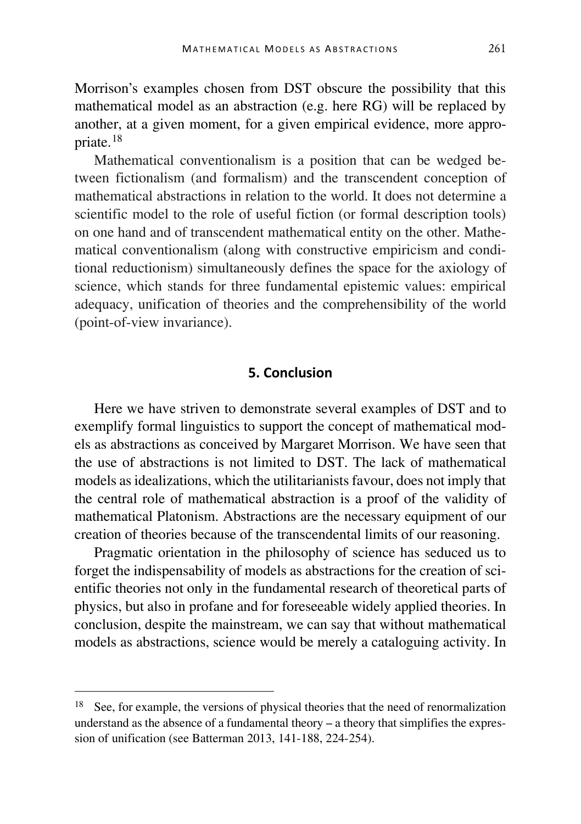Morrison's examples chosen from DST obscure the possibility that this mathematical model as an abstraction (e.g. here RG) will be replaced by another, at a given moment, for a given empirical evidence, more appropriate.[18](#page-17-0)

Mathematical conventionalism is a position that can be wedged between fictionalism (and formalism) and the transcendent conception of mathematical abstractions in relation to the world. It does not determine a scientific model to the role of useful fiction (or formal description tools) on one hand and of transcendent mathematical entity on the other. Mathematical conventionalism (along with constructive empiricism and conditional reductionism) simultaneously defines the space for the axiology of science, which stands for three fundamental epistemic values: empirical adequacy, unification of theories and the comprehensibility of the world (point-of-view invariance).

### **5. Conclusion**

Here we have striven to demonstrate several examples of DST and to exemplify formal linguistics to support the concept of mathematical models as abstractions as conceived by Margaret Morrison. We have seen that the use of abstractions is not limited to DST. The lack of mathematical models as idealizations, which the utilitarianists favour, does not imply that the central role of mathematical abstraction is a proof of the validity of mathematical Platonism. Abstractions are the necessary equipment of our creation of theories because of the transcendental limits of our reasoning.

Pragmatic orientation in the philosophy of science has seduced us to forget the indispensability of models as abstractions for the creation of scientific theories not only in the fundamental research of theoretical parts of physics, but also in profane and for foreseeable widely applied theories. In conclusion, despite the mainstream, we can say that without mathematical models as abstractions, science would be merely a cataloguing activity. In

<span id="page-17-0"></span><sup>&</sup>lt;sup>18</sup> See, for example, the versions of physical theories that the need of renormalization understand as the absence of a fundamental theory – a theory that simplifies the expression of unification (see Batterman 2013, 141-188, 224-254).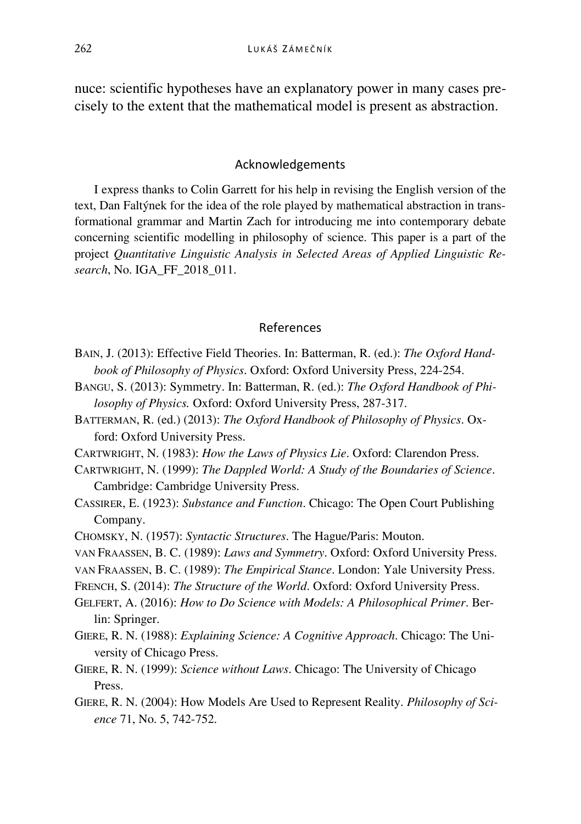nuce: scientific hypotheses have an explanatory power in many cases precisely to the extent that the mathematical model is present as abstraction.

#### Acknowledgements

I express thanks to Colin Garrett for his help in revising the English version of the text, Dan Faltýnek for the idea of the role played by mathematical abstraction in transformational grammar and Martin Zach for introducing me into contemporary debate concerning scientific modelling in philosophy of science. This paper is a part of the project *Quantitative Linguistic Analysis in Selected Areas of Applied Linguistic Research*, No. IGA\_FF\_2018\_011.

#### References

- BAIN, J. (2013): Effective Field Theories. In: Batterman, R. (ed.): *The Oxford Handbook of Philosophy of Physics*. Oxford: Oxford University Press, 224-254.
- BANGU, S. (2013): Symmetry. In: Batterman, R. (ed.): *The Oxford Handbook of Philosophy of Physics.* Oxford: Oxford University Press, 287-317.
- BATTERMAN, R. (ed.) (2013): *The Oxford Handbook of Philosophy of Physics*. Oxford: Oxford University Press.
- CARTWRIGHT, N. (1983): *How the Laws of Physics Lie*. Oxford: Clarendon Press.
- CARTWRIGHT, N. (1999): *The Dappled World: A Study of the Boundaries of Science*. Cambridge: Cambridge University Press.
- CASSIRER, E. (1923): *Substance and Function*. Chicago: The Open Court Publishing Company.
- CHOMSKY, N. (1957): *Syntactic Structures*. The Hague/Paris: Mouton.
- VAN FRAASSEN, B. C. (1989): *Laws and Symmetry*. Oxford: Oxford University Press.
- VAN FRAASSEN, B. C. (1989): *The Empirical Stance*. London: Yale University Press.
- FRENCH, S. (2014): *The Structure of the World*. Oxford: Oxford University Press.
- GELFERT, A. (2016): *How to Do Science with Models: A Philosophical Primer*. Berlin: Springer.
- GIERE, R. N. (1988): *Explaining Science: A Cognitive Approach*. Chicago: The University of Chicago Press.
- GIERE, R. N. (1999): *Science without Laws*. Chicago: The University of Chicago Press.
- GIERE, R. N. (2004): How Models Are Used to Represent Reality. *Philosophy of Science* 71, No. 5, 742-752.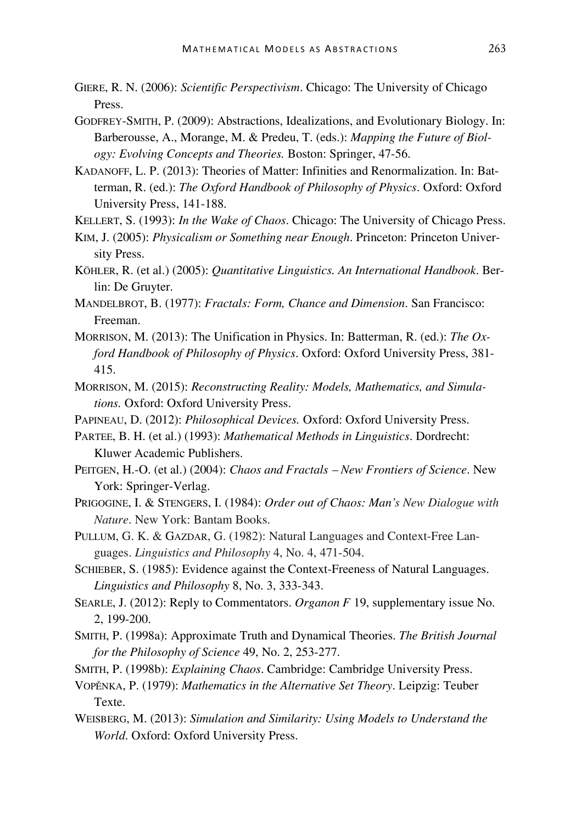- GIERE, R. N. (2006): *Scientific Perspectivism*. Chicago: The University of Chicago Press.
- GODFREY-SMITH, P. (2009): Abstractions, Idealizations, and Evolutionary Biology. In: Barberousse, A., Morange, M. & Predeu, T. (eds.): *Mapping the Future of Biology: Evolving Concepts and Theories.* Boston: Springer, 47-56.
- KADANOFF, L. P. (2013): Theories of Matter: Infinities and Renormalization. In: Batterman, R. (ed.): *The Oxford Handbook of Philosophy of Physics*. Oxford: Oxford University Press, 141-188.
- KELLERT, S. (1993): *In the Wake of Chaos*. Chicago: The University of Chicago Press.
- KIM, J. (2005): *Physicalism or Something near Enough*. Princeton: Princeton University Press.
- KÖHLER, R. (et al.) (2005): *Quantitative Linguistics. An International Handbook*. Berlin: De Gruyter.
- MANDELBROT, B. (1977): *Fractals: Form, Chance and Dimension*. San Francisco: Freeman.
- MORRISON, M. (2013): The Unification in Physics. In: Batterman, R. (ed.): *The Oxford Handbook of Philosophy of Physics*. Oxford: Oxford University Press, 381- 415.
- MORRISON, M. (2015): *Reconstructing Reality: Models, Mathematics, and Simulations.* Oxford: Oxford University Press.
- PAPINEAU, D. (2012): *Philosophical Devices.* Oxford: Oxford University Press.
- PARTEE, B. H. (et al.) (1993): *Mathematical Methods in Linguistics*. Dordrecht: Kluwer Academic Publishers.
- PEITGEN, H.-O. (et al.) (2004): *Chaos and Fractals – New Frontiers of Science*. New York: Springer-Verlag.
- PRIGOGINE, I. & STENGERS, I. (1984): *Order out of Chaos: Man's New Dialogue with Nature*. New York: Bantam Books.
- PULLUM, G. K. & GAZDAR, G. (1982): Natural Languages and Context-Free Languages. *Linguistics and Philosophy* 4, No. 4, 471-504.
- SCHIEBER, S. (1985): Evidence against the Context-Freeness of Natural Languages. *Linguistics and Philosophy* 8, No. 3, 333-343.
- SEARLE, J. (2012): Reply to Commentators. *Organon F* 19, supplementary issue No. 2, 199-200.
- SMITH, P. (1998a): Approximate Truth and Dynamical Theories. *The British Journal for the Philosophy of Science* 49, No. 2, 253-277.
- SMITH, P. (1998b): *Explaining Chaos*. Cambridge: Cambridge University Press.
- VOPĚNKA, P. (1979): *Mathematics in the Alternative Set Theory*. Leipzig: Teuber Texte.
- WEISBERG, M. (2013): *Simulation and Similarity: Using Models to Understand the World*. Oxford: Oxford University Press.